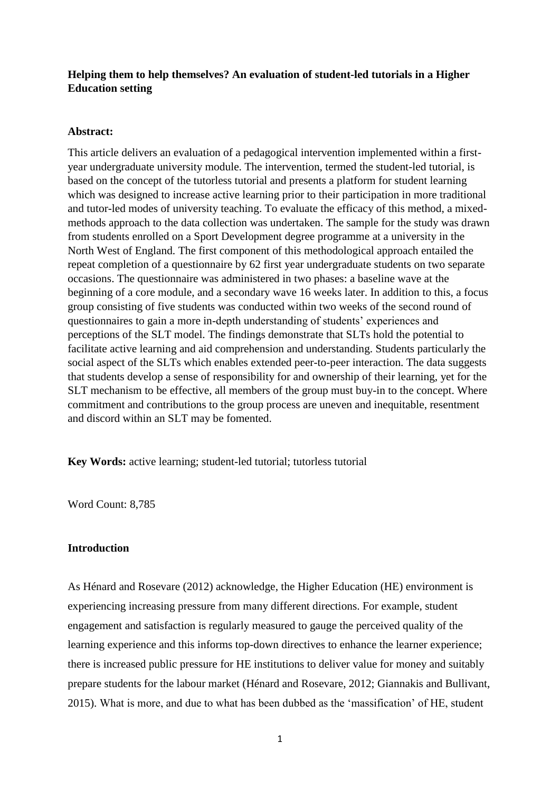## **Helping them to help themselves? An evaluation of student-led tutorials in a Higher Education setting**

## **Abstract:**

This article delivers an evaluation of a pedagogical intervention implemented within a firstyear undergraduate university module. The intervention, termed the student-led tutorial, is based on the concept of the tutorless tutorial and presents a platform for student learning which was designed to increase active learning prior to their participation in more traditional and tutor-led modes of university teaching. To evaluate the efficacy of this method, a mixedmethods approach to the data collection was undertaken. The sample for the study was drawn from students enrolled on a Sport Development degree programme at a university in the North West of England. The first component of this methodological approach entailed the repeat completion of a questionnaire by 62 first year undergraduate students on two separate occasions. The questionnaire was administered in two phases: a baseline wave at the beginning of a core module, and a secondary wave 16 weeks later. In addition to this, a focus group consisting of five students was conducted within two weeks of the second round of questionnaires to gain a more in-depth understanding of students' experiences and perceptions of the SLT model. The findings demonstrate that SLTs hold the potential to facilitate active learning and aid comprehension and understanding. Students particularly the social aspect of the SLTs which enables extended peer-to-peer interaction. The data suggests that students develop a sense of responsibility for and ownership of their learning, yet for the SLT mechanism to be effective, all members of the group must buy-in to the concept. Where commitment and contributions to the group process are uneven and inequitable, resentment and discord within an SLT may be fomented.

**Key Words:** active learning; student-led tutorial; tutorless tutorial

Word Count: 8,785

## **Introduction**

As Hénard and Rosevare (2012) acknowledge, the Higher Education (HE) environment is experiencing increasing pressure from many different directions. For example, student engagement and satisfaction is regularly measured to gauge the perceived quality of the learning experience and this informs top-down directives to enhance the learner experience; there is increased public pressure for HE institutions to deliver value for money and suitably prepare students for the labour market (Hénard and Rosevare, 2012; Giannakis and Bullivant, 2015). What is more, and due to what has been dubbed as the 'massification' of HE, student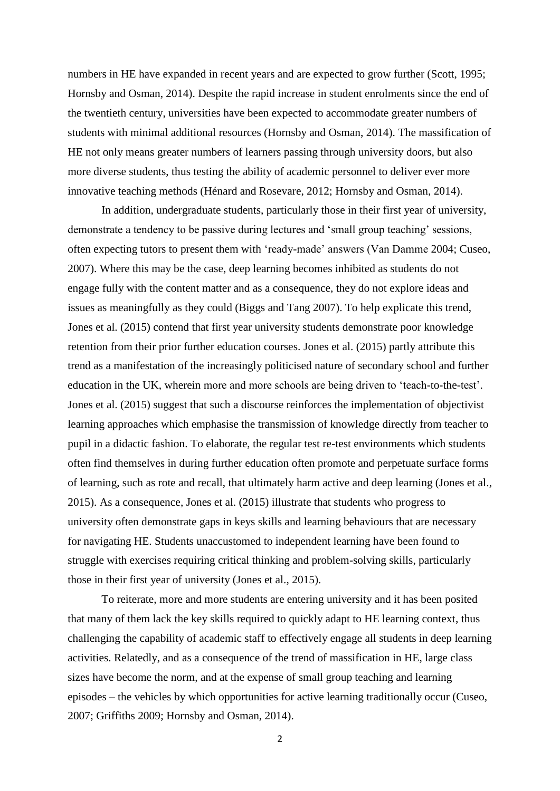numbers in HE have expanded in recent years and are expected to grow further (Scott, 1995; Hornsby and Osman, 2014). Despite the rapid increase in student enrolments since the end of the twentieth century, universities have been expected to accommodate greater numbers of students with minimal additional resources (Hornsby and Osman, 2014). The massification of HE not only means greater numbers of learners passing through university doors, but also more diverse students, thus testing the ability of academic personnel to deliver ever more innovative teaching methods (Hénard and Rosevare, 2012; Hornsby and Osman, 2014).

In addition, undergraduate students, particularly those in their first year of university, demonstrate a tendency to be passive during lectures and 'small group teaching' sessions, often expecting tutors to present them with 'ready-made' answers (Van Damme 2004; Cuseo, 2007). Where this may be the case, deep learning becomes inhibited as students do not engage fully with the content matter and as a consequence, they do not explore ideas and issues as meaningfully as they could (Biggs and Tang 2007). To help explicate this trend, Jones et al. (2015) contend that first year university students demonstrate poor knowledge retention from their prior further education courses. Jones et al. (2015) partly attribute this trend as a manifestation of the increasingly politicised nature of secondary school and further education in the UK, wherein more and more schools are being driven to 'teach-to-the-test'. Jones et al. (2015) suggest that such a discourse reinforces the implementation of objectivist learning approaches which emphasise the transmission of knowledge directly from teacher to pupil in a didactic fashion. To elaborate, the regular test re-test environments which students often find themselves in during further education often promote and perpetuate surface forms of learning, such as rote and recall, that ultimately harm active and deep learning (Jones et al., 2015). As a consequence, Jones et al. (2015) illustrate that students who progress to university often demonstrate gaps in keys skills and learning behaviours that are necessary for navigating HE. Students unaccustomed to independent learning have been found to struggle with exercises requiring critical thinking and problem-solving skills, particularly those in their first year of university (Jones et al., 2015).

To reiterate, more and more students are entering university and it has been posited that many of them lack the key skills required to quickly adapt to HE learning context, thus challenging the capability of academic staff to effectively engage all students in deep learning activities. Relatedly, and as a consequence of the trend of massification in HE, large class sizes have become the norm, and at the expense of small group teaching and learning episodes – the vehicles by which opportunities for active learning traditionally occur (Cuseo, 2007; Griffiths 2009; Hornsby and Osman, 2014).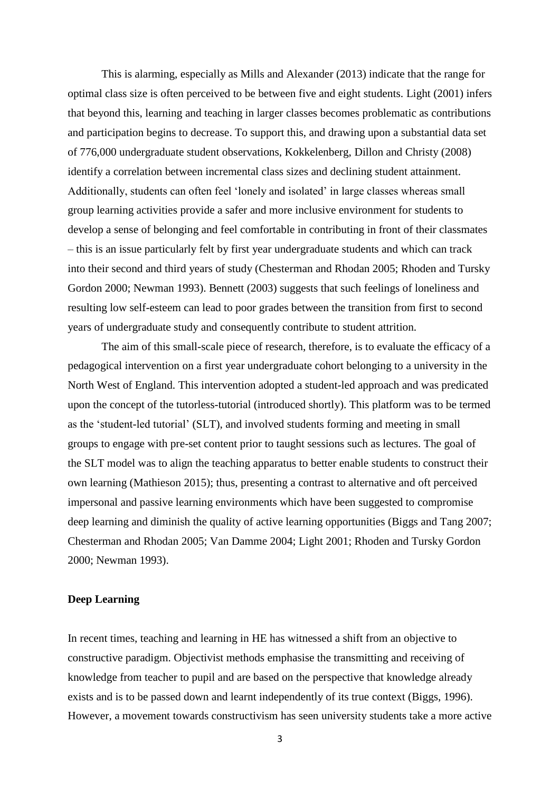This is alarming, especially as Mills and Alexander (2013) indicate that the range for optimal class size is often perceived to be between five and eight students. Light (2001) infers that beyond this, learning and teaching in larger classes becomes problematic as contributions and participation begins to decrease. To support this, and drawing upon a substantial data set of 776,000 undergraduate student observations, Kokkelenberg, Dillon and Christy (2008) identify a correlation between incremental class sizes and declining student attainment. Additionally, students can often feel 'lonely and isolated' in large classes whereas small group learning activities provide a safer and more inclusive environment for students to develop a sense of belonging and feel comfortable in contributing in front of their classmates – this is an issue particularly felt by first year undergraduate students and which can track into their second and third years of study (Chesterman and Rhodan 2005; Rhoden and Tursky Gordon 2000; Newman 1993). Bennett (2003) suggests that such feelings of loneliness and resulting low self-esteem can lead to poor grades between the transition from first to second years of undergraduate study and consequently contribute to student attrition.

The aim of this small-scale piece of research, therefore, is to evaluate the efficacy of a pedagogical intervention on a first year undergraduate cohort belonging to a university in the North West of England. This intervention adopted a student-led approach and was predicated upon the concept of the tutorless-tutorial (introduced shortly). This platform was to be termed as the 'student-led tutorial' (SLT), and involved students forming and meeting in small groups to engage with pre-set content prior to taught sessions such as lectures. The goal of the SLT model was to align the teaching apparatus to better enable students to construct their own learning (Mathieson 2015); thus, presenting a contrast to alternative and oft perceived impersonal and passive learning environments which have been suggested to compromise deep learning and diminish the quality of active learning opportunities (Biggs and Tang 2007; Chesterman and Rhodan 2005; Van Damme 2004; Light 2001; Rhoden and Tursky Gordon 2000; Newman 1993).

## **Deep Learning**

In recent times, teaching and learning in HE has witnessed a shift from an objective to constructive paradigm. Objectivist methods emphasise the transmitting and receiving of knowledge from teacher to pupil and are based on the perspective that knowledge already exists and is to be passed down and learnt independently of its true context (Biggs, 1996). However, a movement towards constructivism has seen university students take a more active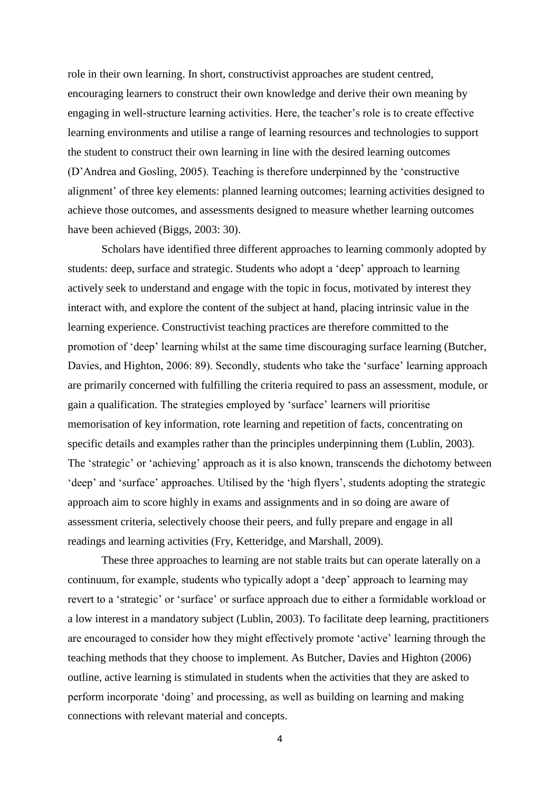role in their own learning. In short, constructivist approaches are student centred, encouraging learners to construct their own knowledge and derive their own meaning by engaging in well-structure learning activities. Here, the teacher's role is to create effective learning environments and utilise a range of learning resources and technologies to support the student to construct their own learning in line with the desired learning outcomes (D'Andrea and Gosling, 2005). Teaching is therefore underpinned by the 'constructive alignment' of three key elements: planned learning outcomes; learning activities designed to achieve those outcomes, and assessments designed to measure whether learning outcomes have been achieved (Biggs, 2003: 30).

Scholars have identified three different approaches to learning commonly adopted by students: deep, surface and strategic. Students who adopt a 'deep' approach to learning actively seek to understand and engage with the topic in focus, motivated by interest they interact with, and explore the content of the subject at hand, placing intrinsic value in the learning experience. Constructivist teaching practices are therefore committed to the promotion of 'deep' learning whilst at the same time discouraging surface learning (Butcher, Davies, and Highton, 2006: 89). Secondly, students who take the 'surface' learning approach are primarily concerned with fulfilling the criteria required to pass an assessment, module, or gain a qualification. The strategies employed by 'surface' learners will prioritise memorisation of key information, rote learning and repetition of facts, concentrating on specific details and examples rather than the principles underpinning them (Lublin, 2003). The 'strategic' or 'achieving' approach as it is also known, transcends the dichotomy between 'deep' and 'surface' approaches. Utilised by the 'high flyers', students adopting the strategic approach aim to score highly in exams and assignments and in so doing are aware of assessment criteria, selectively choose their peers, and fully prepare and engage in all readings and learning activities (Fry, Ketteridge, and Marshall, 2009).

These three approaches to learning are not stable traits but can operate laterally on a continuum, for example, students who typically adopt a 'deep' approach to learning may revert to a 'strategic' or 'surface' or surface approach due to either a formidable workload or a low interest in a mandatory subject (Lublin, 2003). To facilitate deep learning, practitioners are encouraged to consider how they might effectively promote 'active' learning through the teaching methods that they choose to implement. As Butcher, Davies and Highton (2006) outline, active learning is stimulated in students when the activities that they are asked to perform incorporate 'doing' and processing, as well as building on learning and making connections with relevant material and concepts.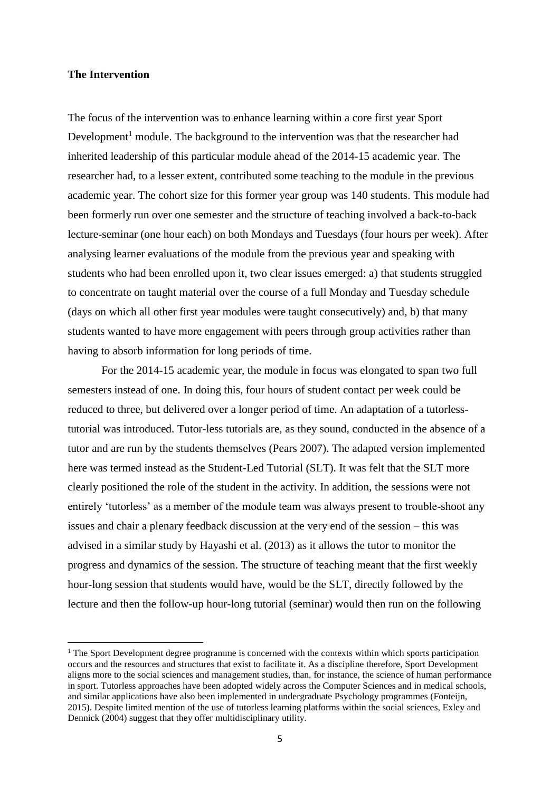### **The Intervention**

-

The focus of the intervention was to enhance learning within a core first year Sport Development<sup>1</sup> module. The background to the intervention was that the researcher had inherited leadership of this particular module ahead of the 2014-15 academic year. The researcher had, to a lesser extent, contributed some teaching to the module in the previous academic year. The cohort size for this former year group was 140 students. This module had been formerly run over one semester and the structure of teaching involved a back-to-back lecture-seminar (one hour each) on both Mondays and Tuesdays (four hours per week). After analysing learner evaluations of the module from the previous year and speaking with students who had been enrolled upon it, two clear issues emerged: a) that students struggled to concentrate on taught material over the course of a full Monday and Tuesday schedule (days on which all other first year modules were taught consecutively) and, b) that many students wanted to have more engagement with peers through group activities rather than having to absorb information for long periods of time.

For the 2014-15 academic year, the module in focus was elongated to span two full semesters instead of one. In doing this, four hours of student contact per week could be reduced to three, but delivered over a longer period of time. An adaptation of a tutorlesstutorial was introduced. Tutor-less tutorials are, as they sound, conducted in the absence of a tutor and are run by the students themselves (Pears 2007). The adapted version implemented here was termed instead as the Student-Led Tutorial (SLT). It was felt that the SLT more clearly positioned the role of the student in the activity. In addition, the sessions were not entirely 'tutorless' as a member of the module team was always present to trouble-shoot any issues and chair a plenary feedback discussion at the very end of the session – this was advised in a similar study by Hayashi et al. (2013) as it allows the tutor to monitor the progress and dynamics of the session. The structure of teaching meant that the first weekly hour-long session that students would have, would be the SLT, directly followed by the lecture and then the follow-up hour-long tutorial (seminar) would then run on the following

<sup>&</sup>lt;sup>1</sup> The Sport Development degree programme is concerned with the contexts within which sports participation occurs and the resources and structures that exist to facilitate it. As a discipline therefore, Sport Development aligns more to the social sciences and management studies, than, for instance, the science of human performance in sport. Tutorless approaches have been adopted widely across the Computer Sciences and in medical schools, and similar applications have also been implemented in undergraduate Psychology programmes (Fonteijn, 2015). Despite limited mention of the use of tutorless learning platforms within the social sciences, Exley and Dennick (2004) suggest that they offer multidisciplinary utility.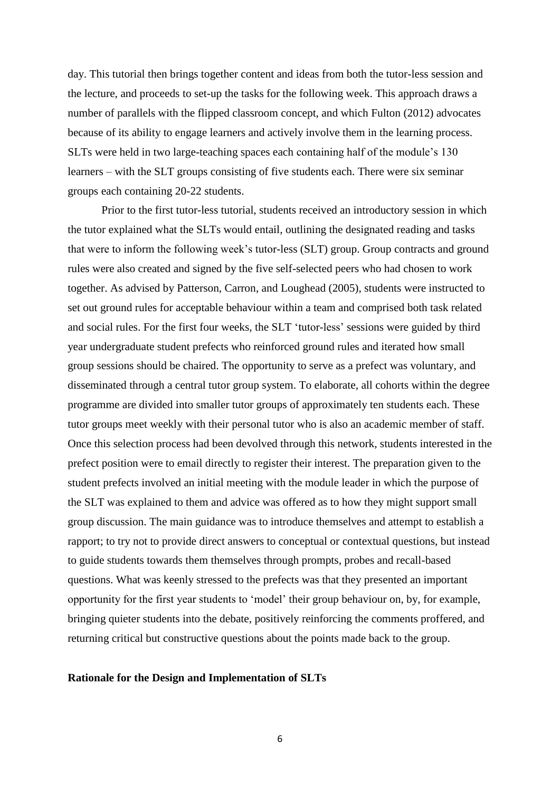day. This tutorial then brings together content and ideas from both the tutor-less session and the lecture, and proceeds to set-up the tasks for the following week. This approach draws a number of parallels with the flipped classroom concept, and which Fulton (2012) advocates because of its ability to engage learners and actively involve them in the learning process. SLTs were held in two large-teaching spaces each containing half of the module's 130 learners – with the SLT groups consisting of five students each. There were six seminar groups each containing 20-22 students.

Prior to the first tutor-less tutorial, students received an introductory session in which the tutor explained what the SLTs would entail, outlining the designated reading and tasks that were to inform the following week's tutor-less (SLT) group. Group contracts and ground rules were also created and signed by the five self-selected peers who had chosen to work together. As advised by Patterson, Carron, and Loughead (2005), students were instructed to set out ground rules for acceptable behaviour within a team and comprised both task related and social rules. For the first four weeks, the SLT 'tutor-less' sessions were guided by third year undergraduate student prefects who reinforced ground rules and iterated how small group sessions should be chaired. The opportunity to serve as a prefect was voluntary, and disseminated through a central tutor group system. To elaborate, all cohorts within the degree programme are divided into smaller tutor groups of approximately ten students each. These tutor groups meet weekly with their personal tutor who is also an academic member of staff. Once this selection process had been devolved through this network, students interested in the prefect position were to email directly to register their interest. The preparation given to the student prefects involved an initial meeting with the module leader in which the purpose of the SLT was explained to them and advice was offered as to how they might support small group discussion. The main guidance was to introduce themselves and attempt to establish a rapport; to try not to provide direct answers to conceptual or contextual questions, but instead to guide students towards them themselves through prompts, probes and recall-based questions. What was keenly stressed to the prefects was that they presented an important opportunity for the first year students to 'model' their group behaviour on, by, for example, bringing quieter students into the debate, positively reinforcing the comments proffered, and returning critical but constructive questions about the points made back to the group.

#### **Rationale for the Design and Implementation of SLTs**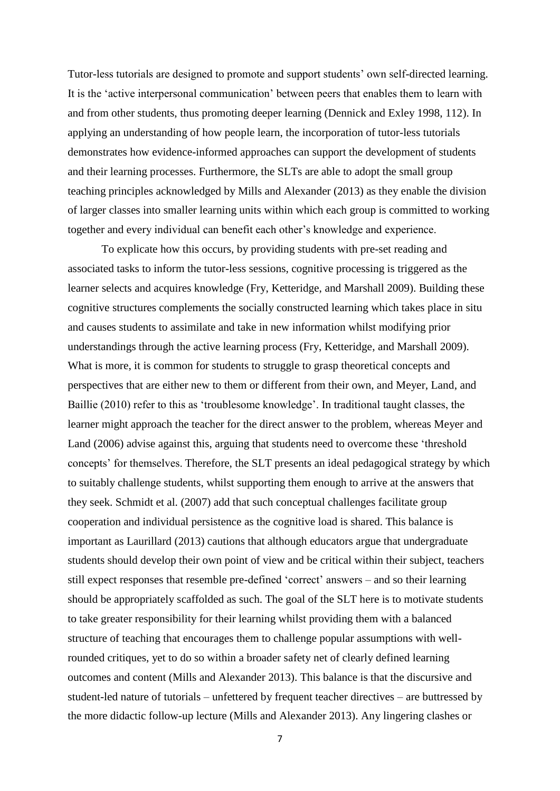Tutor-less tutorials are designed to promote and support students' own self-directed learning. It is the 'active interpersonal communication' between peers that enables them to learn with and from other students, thus promoting deeper learning (Dennick and Exley 1998, 112). In applying an understanding of how people learn, the incorporation of tutor-less tutorials demonstrates how evidence-informed approaches can support the development of students and their learning processes. Furthermore, the SLTs are able to adopt the small group teaching principles acknowledged by Mills and Alexander (2013) as they enable the division of larger classes into smaller learning units within which each group is committed to working together and every individual can benefit each other's knowledge and experience.

To explicate how this occurs, by providing students with pre-set reading and associated tasks to inform the tutor-less sessions, cognitive processing is triggered as the learner selects and acquires knowledge (Fry, Ketteridge, and Marshall 2009). Building these cognitive structures complements the socially constructed learning which takes place in situ and causes students to assimilate and take in new information whilst modifying prior understandings through the active learning process (Fry, Ketteridge, and Marshall 2009). What is more, it is common for students to struggle to grasp theoretical concepts and perspectives that are either new to them or different from their own, and Meyer, Land, and Baillie (2010) refer to this as 'troublesome knowledge'. In traditional taught classes, the learner might approach the teacher for the direct answer to the problem, whereas Meyer and Land (2006) advise against this, arguing that students need to overcome these 'threshold concepts' for themselves. Therefore, the SLT presents an ideal pedagogical strategy by which to suitably challenge students, whilst supporting them enough to arrive at the answers that they seek. Schmidt et al. (2007) add that such conceptual challenges facilitate group cooperation and individual persistence as the cognitive load is shared. This balance is important as Laurillard (2013) cautions that although educators argue that undergraduate students should develop their own point of view and be critical within their subject, teachers still expect responses that resemble pre-defined 'correct' answers – and so their learning should be appropriately scaffolded as such. The goal of the SLT here is to motivate students to take greater responsibility for their learning whilst providing them with a balanced structure of teaching that encourages them to challenge popular assumptions with wellrounded critiques, yet to do so within a broader safety net of clearly defined learning outcomes and content (Mills and Alexander 2013). This balance is that the discursive and student-led nature of tutorials – unfettered by frequent teacher directives – are buttressed by the more didactic follow-up lecture (Mills and Alexander 2013). Any lingering clashes or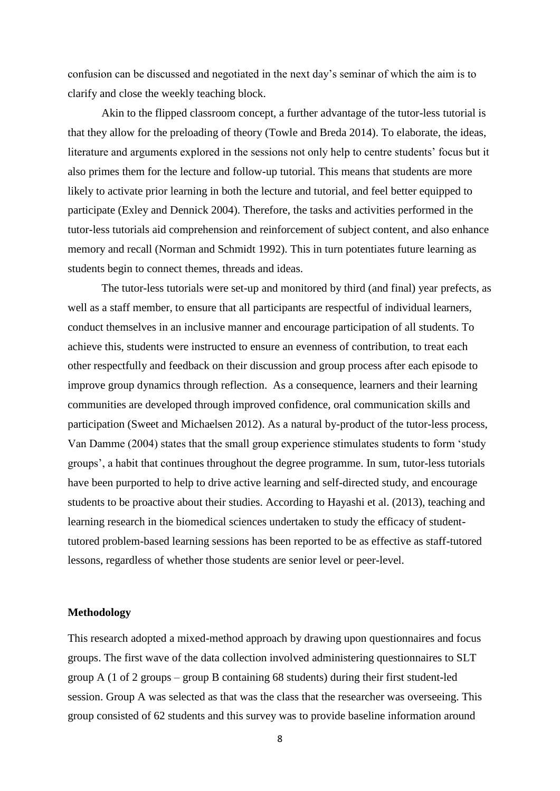confusion can be discussed and negotiated in the next day's seminar of which the aim is to clarify and close the weekly teaching block.

Akin to the flipped classroom concept, a further advantage of the tutor-less tutorial is that they allow for the preloading of theory (Towle and Breda 2014). To elaborate, the ideas, literature and arguments explored in the sessions not only help to centre students' focus but it also primes them for the lecture and follow-up tutorial. This means that students are more likely to activate prior learning in both the lecture and tutorial, and feel better equipped to participate (Exley and Dennick 2004). Therefore, the tasks and activities performed in the tutor-less tutorials aid comprehension and reinforcement of subject content, and also enhance memory and recall (Norman and Schmidt 1992). This in turn potentiates future learning as students begin to connect themes, threads and ideas.

The tutor-less tutorials were set-up and monitored by third (and final) year prefects, as well as a staff member, to ensure that all participants are respectful of individual learners, conduct themselves in an inclusive manner and encourage participation of all students. To achieve this, students were instructed to ensure an evenness of contribution, to treat each other respectfully and feedback on their discussion and group process after each episode to improve group dynamics through reflection. As a consequence, learners and their learning communities are developed through improved confidence, oral communication skills and participation (Sweet and Michaelsen 2012). As a natural by-product of the tutor-less process, Van Damme (2004) states that the small group experience stimulates students to form 'study groups', a habit that continues throughout the degree programme. In sum, tutor-less tutorials have been purported to help to drive active learning and self-directed study, and encourage students to be proactive about their studies. According to Hayashi et al. (2013), teaching and learning research in the biomedical sciences undertaken to study the efficacy of studenttutored problem-based learning sessions has been reported to be as effective as staff-tutored lessons, regardless of whether those students are senior level or peer-level.

## **Methodology**

This research adopted a mixed-method approach by drawing upon questionnaires and focus groups. The first wave of the data collection involved administering questionnaires to SLT group A (1 of 2 groups – group B containing 68 students) during their first student-led session. Group A was selected as that was the class that the researcher was overseeing. This group consisted of 62 students and this survey was to provide baseline information around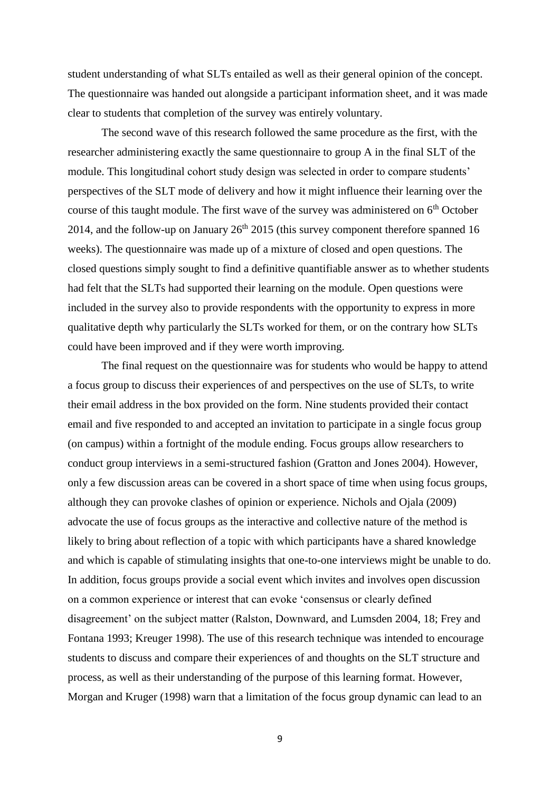student understanding of what SLTs entailed as well as their general opinion of the concept. The questionnaire was handed out alongside a participant information sheet, and it was made clear to students that completion of the survey was entirely voluntary.

The second wave of this research followed the same procedure as the first, with the researcher administering exactly the same questionnaire to group A in the final SLT of the module. This longitudinal cohort study design was selected in order to compare students' perspectives of the SLT mode of delivery and how it might influence their learning over the course of this taught module. The first wave of the survey was administered on  $6<sup>th</sup>$  October 2014, and the follow-up on January  $26<sup>th</sup> 2015$  (this survey component therefore spanned 16 weeks). The questionnaire was made up of a mixture of closed and open questions. The closed questions simply sought to find a definitive quantifiable answer as to whether students had felt that the SLTs had supported their learning on the module. Open questions were included in the survey also to provide respondents with the opportunity to express in more qualitative depth why particularly the SLTs worked for them, or on the contrary how SLTs could have been improved and if they were worth improving.

The final request on the questionnaire was for students who would be happy to attend a focus group to discuss their experiences of and perspectives on the use of SLTs, to write their email address in the box provided on the form. Nine students provided their contact email and five responded to and accepted an invitation to participate in a single focus group (on campus) within a fortnight of the module ending. Focus groups allow researchers to conduct group interviews in a semi-structured fashion (Gratton and Jones 2004). However, only a few discussion areas can be covered in a short space of time when using focus groups, although they can provoke clashes of opinion or experience. Nichols and Ojala (2009) advocate the use of focus groups as the interactive and collective nature of the method is likely to bring about reflection of a topic with which participants have a shared knowledge and which is capable of stimulating insights that one-to-one interviews might be unable to do. In addition, focus groups provide a social event which invites and involves open discussion on a common experience or interest that can evoke 'consensus or clearly defined disagreement' on the subject matter (Ralston, Downward, and Lumsden 2004, 18; Frey and Fontana 1993; Kreuger 1998). The use of this research technique was intended to encourage students to discuss and compare their experiences of and thoughts on the SLT structure and process, as well as their understanding of the purpose of this learning format. However, Morgan and Kruger (1998) warn that a limitation of the focus group dynamic can lead to an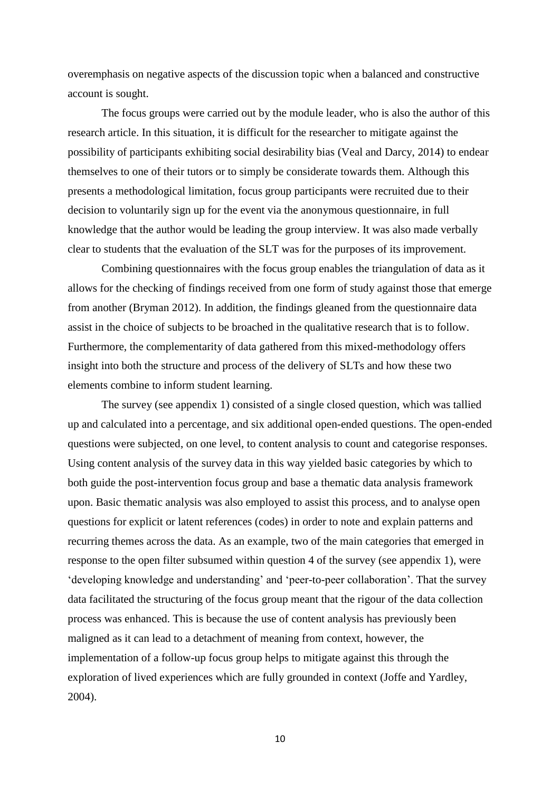overemphasis on negative aspects of the discussion topic when a balanced and constructive account is sought.

The focus groups were carried out by the module leader, who is also the author of this research article. In this situation, it is difficult for the researcher to mitigate against the possibility of participants exhibiting social desirability bias (Veal and Darcy, 2014) to endear themselves to one of their tutors or to simply be considerate towards them. Although this presents a methodological limitation, focus group participants were recruited due to their decision to voluntarily sign up for the event via the anonymous questionnaire, in full knowledge that the author would be leading the group interview. It was also made verbally clear to students that the evaluation of the SLT was for the purposes of its improvement.

Combining questionnaires with the focus group enables the triangulation of data as it allows for the checking of findings received from one form of study against those that emerge from another (Bryman 2012). In addition, the findings gleaned from the questionnaire data assist in the choice of subjects to be broached in the qualitative research that is to follow. Furthermore, the complementarity of data gathered from this mixed-methodology offers insight into both the structure and process of the delivery of SLTs and how these two elements combine to inform student learning.

The survey (see appendix 1) consisted of a single closed question, which was tallied up and calculated into a percentage, and six additional open-ended questions. The open-ended questions were subjected, on one level, to content analysis to count and categorise responses. Using content analysis of the survey data in this way yielded basic categories by which to both guide the post-intervention focus group and base a thematic data analysis framework upon. Basic thematic analysis was also employed to assist this process, and to analyse open questions for explicit or latent references (codes) in order to note and explain patterns and recurring themes across the data. As an example, two of the main categories that emerged in response to the open filter subsumed within question 4 of the survey (see appendix 1), were 'developing knowledge and understanding' and 'peer-to-peer collaboration'. That the survey data facilitated the structuring of the focus group meant that the rigour of the data collection process was enhanced. This is because the use of content analysis has previously been maligned as it can lead to a detachment of meaning from context, however, the implementation of a follow-up focus group helps to mitigate against this through the exploration of lived experiences which are fully grounded in context (Joffe and Yardley, 2004).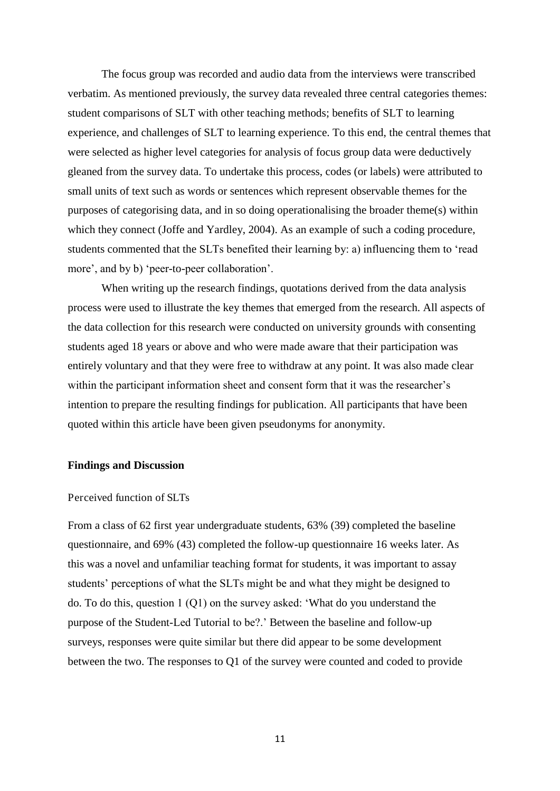The focus group was recorded and audio data from the interviews were transcribed verbatim. As mentioned previously, the survey data revealed three central categories themes: student comparisons of SLT with other teaching methods; benefits of SLT to learning experience, and challenges of SLT to learning experience. To this end, the central themes that were selected as higher level categories for analysis of focus group data were deductively gleaned from the survey data. To undertake this process, codes (or labels) were attributed to small units of text such as words or sentences which represent observable themes for the purposes of categorising data, and in so doing operationalising the broader theme(s) within which they connect (Joffe and Yardley, 2004). As an example of such a coding procedure, students commented that the SLTs benefited their learning by: a) influencing them to 'read more', and by b) 'peer-to-peer collaboration'.

When writing up the research findings, quotations derived from the data analysis process were used to illustrate the key themes that emerged from the research. All aspects of the data collection for this research were conducted on university grounds with consenting students aged 18 years or above and who were made aware that their participation was entirely voluntary and that they were free to withdraw at any point. It was also made clear within the participant information sheet and consent form that it was the researcher's intention to prepare the resulting findings for publication. All participants that have been quoted within this article have been given pseudonyms for anonymity.

## **Findings and Discussion**

#### Perceived function of SLTs

From a class of 62 first year undergraduate students, 63% (39) completed the baseline questionnaire, and 69% (43) completed the follow-up questionnaire 16 weeks later. As this was a novel and unfamiliar teaching format for students, it was important to assay students' perceptions of what the SLTs might be and what they might be designed to do. To do this, question 1 (Q1) on the survey asked: 'What do you understand the purpose of the Student-Led Tutorial to be?.' Between the baseline and follow-up surveys, responses were quite similar but there did appear to be some development between the two. The responses to Q1 of the survey were counted and coded to provide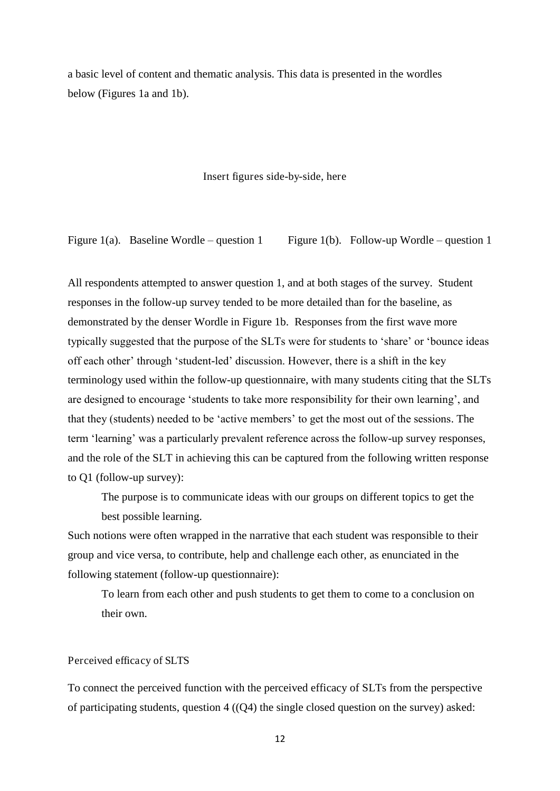a basic level of content and thematic analysis. This data is presented in the wordles below (Figures 1a and 1b).

Insert figures side-by-side, here

Figure 1(a). Baseline Wordle – question 1 Figure 1(b). Follow-up Wordle – question 1

All respondents attempted to answer question 1, and at both stages of the survey. Student responses in the follow-up survey tended to be more detailed than for the baseline, as demonstrated by the denser Wordle in Figure 1b. Responses from the first wave more typically suggested that the purpose of the SLTs were for students to 'share' or 'bounce ideas off each other' through 'student-led' discussion. However, there is a shift in the key terminology used within the follow-up questionnaire, with many students citing that the SLTs are designed to encourage 'students to take more responsibility for their own learning', and that they (students) needed to be 'active members' to get the most out of the sessions. The term 'learning' was a particularly prevalent reference across the follow-up survey responses, and the role of the SLT in achieving this can be captured from the following written response to Q1 (follow-up survey):

The purpose is to communicate ideas with our groups on different topics to get the best possible learning.

Such notions were often wrapped in the narrative that each student was responsible to their group and vice versa, to contribute, help and challenge each other, as enunciated in the following statement (follow-up questionnaire):

To learn from each other and push students to get them to come to a conclusion on their own.

## Perceived efficacy of SLTS

To connect the perceived function with the perceived efficacy of SLTs from the perspective of participating students, question  $4((Q4)$  the single closed question on the survey) asked: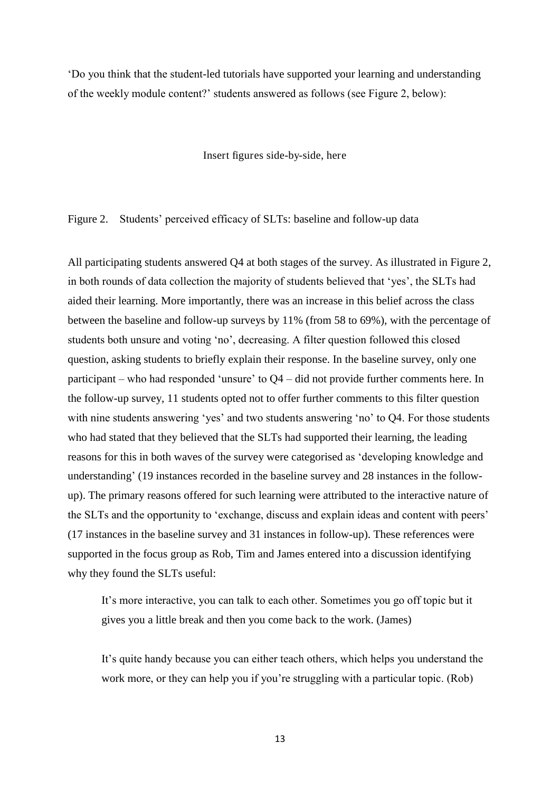'Do you think that the student-led tutorials have supported your learning and understanding of the weekly module content?' students answered as follows (see Figure 2, below):

Insert figures side-by-side, here

Figure 2. Students' perceived efficacy of SLTs: baseline and follow-up data

All participating students answered Q4 at both stages of the survey. As illustrated in Figure 2, in both rounds of data collection the majority of students believed that 'yes', the SLTs had aided their learning. More importantly, there was an increase in this belief across the class between the baseline and follow-up surveys by 11% (from 58 to 69%), with the percentage of students both unsure and voting 'no', decreasing. A filter question followed this closed question, asking students to briefly explain their response. In the baseline survey, only one participant – who had responded 'unsure' to Q4 – did not provide further comments here. In the follow-up survey, 11 students opted not to offer further comments to this filter question with nine students answering 'yes' and two students answering 'no' to Q4. For those students who had stated that they believed that the SLTs had supported their learning, the leading reasons for this in both waves of the survey were categorised as 'developing knowledge and understanding' (19 instances recorded in the baseline survey and 28 instances in the followup). The primary reasons offered for such learning were attributed to the interactive nature of the SLTs and the opportunity to 'exchange, discuss and explain ideas and content with peers' (17 instances in the baseline survey and 31 instances in follow-up). These references were supported in the focus group as Rob, Tim and James entered into a discussion identifying why they found the SLTs useful:

It's more interactive, you can talk to each other. Sometimes you go off topic but it gives you a little break and then you come back to the work. (James)

It's quite handy because you can either teach others, which helps you understand the work more, or they can help you if you're struggling with a particular topic. (Rob)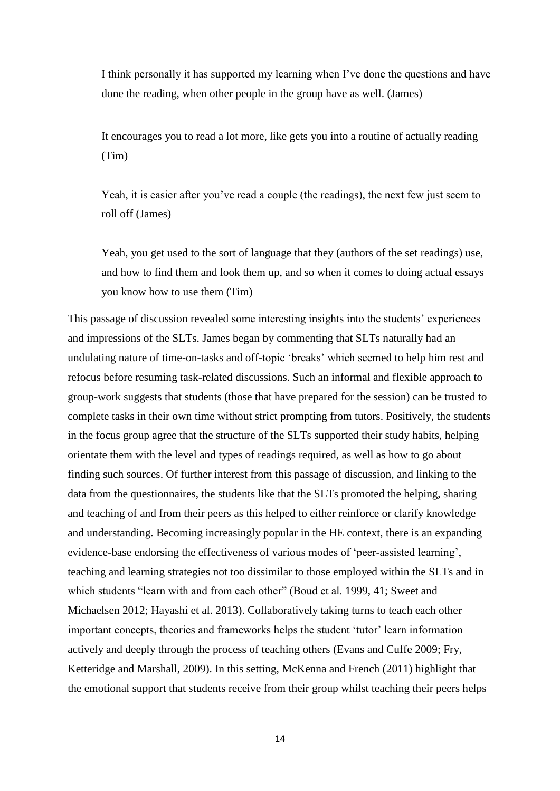I think personally it has supported my learning when I've done the questions and have done the reading, when other people in the group have as well. (James)

It encourages you to read a lot more, like gets you into a routine of actually reading (Tim)

Yeah, it is easier after you've read a couple (the readings), the next few just seem to roll off (James)

Yeah, you get used to the sort of language that they (authors of the set readings) use, and how to find them and look them up, and so when it comes to doing actual essays you know how to use them (Tim)

This passage of discussion revealed some interesting insights into the students' experiences and impressions of the SLTs. James began by commenting that SLTs naturally had an undulating nature of time-on-tasks and off-topic 'breaks' which seemed to help him rest and refocus before resuming task-related discussions. Such an informal and flexible approach to group-work suggests that students (those that have prepared for the session) can be trusted to complete tasks in their own time without strict prompting from tutors. Positively, the students in the focus group agree that the structure of the SLTs supported their study habits, helping orientate them with the level and types of readings required, as well as how to go about finding such sources. Of further interest from this passage of discussion, and linking to the data from the questionnaires, the students like that the SLTs promoted the helping, sharing and teaching of and from their peers as this helped to either reinforce or clarify knowledge and understanding. Becoming increasingly popular in the HE context, there is an expanding evidence-base endorsing the effectiveness of various modes of 'peer-assisted learning', teaching and learning strategies not too dissimilar to those employed within the SLTs and in which students "learn with and from each other" (Boud et al. 1999, 41; Sweet and Michaelsen 2012; Hayashi et al. 2013). Collaboratively taking turns to teach each other important concepts, theories and frameworks helps the student 'tutor' learn information actively and deeply through the process of teaching others (Evans and Cuffe 2009; Fry, Ketteridge and Marshall, 2009). In this setting, McKenna and French (2011) highlight that the emotional support that students receive from their group whilst teaching their peers helps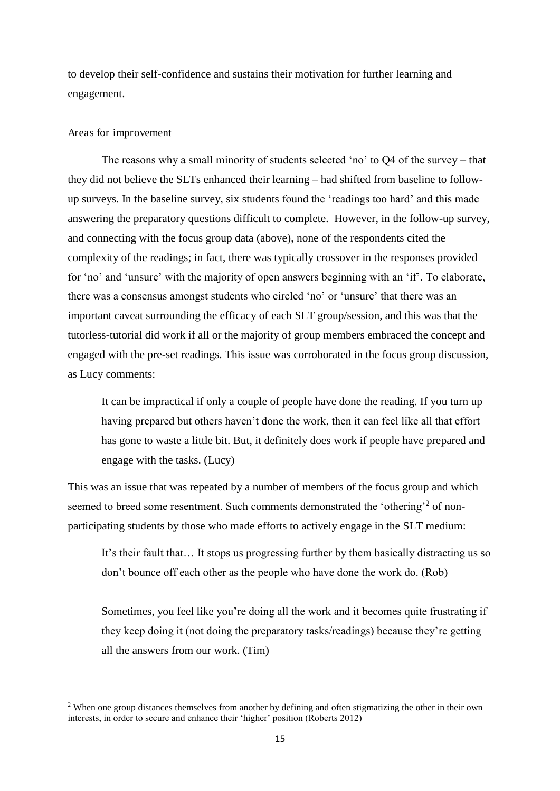to develop their self-confidence and sustains their motivation for further learning and engagement.

## Areas for improvement

<u>.</u>

The reasons why a small minority of students selected 'no' to Q4 of the survey – that they did not believe the SLTs enhanced their learning – had shifted from baseline to followup surveys. In the baseline survey, six students found the 'readings too hard' and this made answering the preparatory questions difficult to complete. However, in the follow-up survey, and connecting with the focus group data (above), none of the respondents cited the complexity of the readings; in fact, there was typically crossover in the responses provided for 'no' and 'unsure' with the majority of open answers beginning with an 'if'. To elaborate, there was a consensus amongst students who circled 'no' or 'unsure' that there was an important caveat surrounding the efficacy of each SLT group/session, and this was that the tutorless-tutorial did work if all or the majority of group members embraced the concept and engaged with the pre-set readings. This issue was corroborated in the focus group discussion, as Lucy comments:

It can be impractical if only a couple of people have done the reading. If you turn up having prepared but others haven't done the work, then it can feel like all that effort has gone to waste a little bit. But, it definitely does work if people have prepared and engage with the tasks. (Lucy)

This was an issue that was repeated by a number of members of the focus group and which seemed to breed some resentment. Such comments demonstrated the 'othering'<sup>2</sup> of nonparticipating students by those who made efforts to actively engage in the SLT medium:

It's their fault that… It stops us progressing further by them basically distracting us so don't bounce off each other as the people who have done the work do. (Rob)

Sometimes, you feel like you're doing all the work and it becomes quite frustrating if they keep doing it (not doing the preparatory tasks/readings) because they're getting all the answers from our work. (Tim)

<sup>&</sup>lt;sup>2</sup> When one group distances themselves from another by defining and often stigmatizing the other in their own interests, in order to secure and enhance their 'higher' position (Roberts 2012)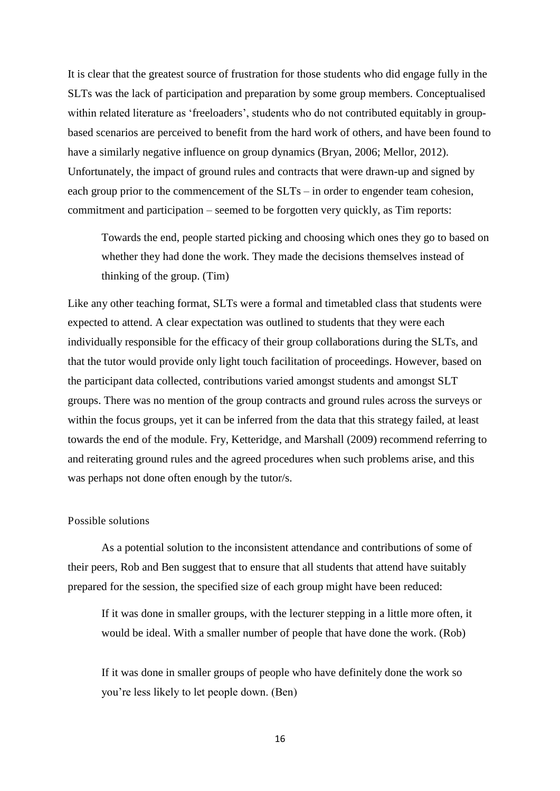It is clear that the greatest source of frustration for those students who did engage fully in the SLTs was the lack of participation and preparation by some group members. Conceptualised within related literature as 'freeloaders', students who do not contributed equitably in groupbased scenarios are perceived to benefit from the hard work of others, and have been found to have a similarly negative influence on group dynamics (Bryan, 2006; Mellor, 2012). Unfortunately, the impact of ground rules and contracts that were drawn-up and signed by each group prior to the commencement of the SLTs – in order to engender team cohesion, commitment and participation – seemed to be forgotten very quickly, as Tim reports:

Towards the end, people started picking and choosing which ones they go to based on whether they had done the work. They made the decisions themselves instead of thinking of the group. (Tim)

Like any other teaching format, SLTs were a formal and timetabled class that students were expected to attend. A clear expectation was outlined to students that they were each individually responsible for the efficacy of their group collaborations during the SLTs, and that the tutor would provide only light touch facilitation of proceedings. However, based on the participant data collected, contributions varied amongst students and amongst SLT groups. There was no mention of the group contracts and ground rules across the surveys or within the focus groups, yet it can be inferred from the data that this strategy failed, at least towards the end of the module. Fry, Ketteridge, and Marshall (2009) recommend referring to and reiterating ground rules and the agreed procedures when such problems arise, and this was perhaps not done often enough by the tutor/s.

## Possible solutions

As a potential solution to the inconsistent attendance and contributions of some of their peers, Rob and Ben suggest that to ensure that all students that attend have suitably prepared for the session, the specified size of each group might have been reduced:

If it was done in smaller groups, with the lecturer stepping in a little more often, it would be ideal. With a smaller number of people that have done the work. (Rob)

If it was done in smaller groups of people who have definitely done the work so you're less likely to let people down. (Ben)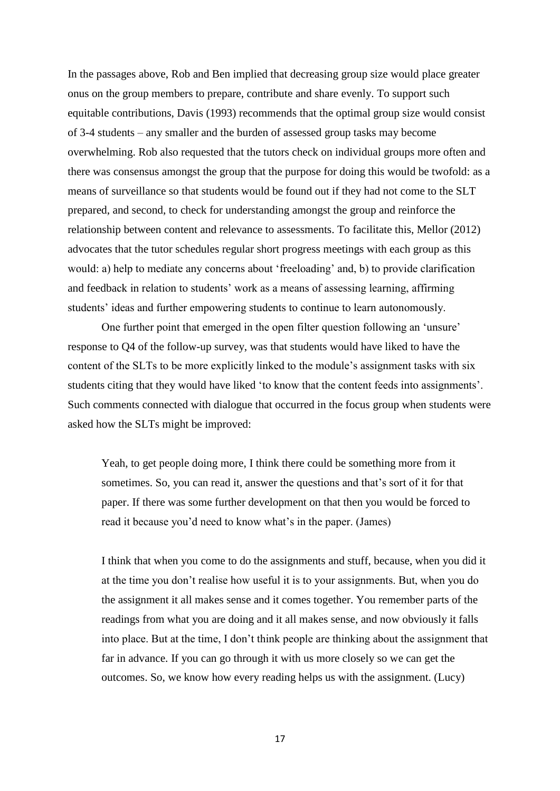In the passages above, Rob and Ben implied that decreasing group size would place greater onus on the group members to prepare, contribute and share evenly. To support such equitable contributions, Davis (1993) recommends that the optimal group size would consist of 3-4 students – any smaller and the burden of assessed group tasks may become overwhelming. Rob also requested that the tutors check on individual groups more often and there was consensus amongst the group that the purpose for doing this would be twofold: as a means of surveillance so that students would be found out if they had not come to the SLT prepared, and second, to check for understanding amongst the group and reinforce the relationship between content and relevance to assessments. To facilitate this, Mellor (2012) advocates that the tutor schedules regular short progress meetings with each group as this would: a) help to mediate any concerns about 'freeloading' and, b) to provide clarification and feedback in relation to students' work as a means of assessing learning, affirming students' ideas and further empowering students to continue to learn autonomously.

One further point that emerged in the open filter question following an 'unsure' response to Q4 of the follow-up survey, was that students would have liked to have the content of the SLTs to be more explicitly linked to the module's assignment tasks with six students citing that they would have liked 'to know that the content feeds into assignments'. Such comments connected with dialogue that occurred in the focus group when students were asked how the SLTs might be improved:

Yeah, to get people doing more, I think there could be something more from it sometimes. So, you can read it, answer the questions and that's sort of it for that paper. If there was some further development on that then you would be forced to read it because you'd need to know what's in the paper. (James)

I think that when you come to do the assignments and stuff, because, when you did it at the time you don't realise how useful it is to your assignments. But, when you do the assignment it all makes sense and it comes together. You remember parts of the readings from what you are doing and it all makes sense, and now obviously it falls into place. But at the time, I don't think people are thinking about the assignment that far in advance. If you can go through it with us more closely so we can get the outcomes. So, we know how every reading helps us with the assignment. (Lucy)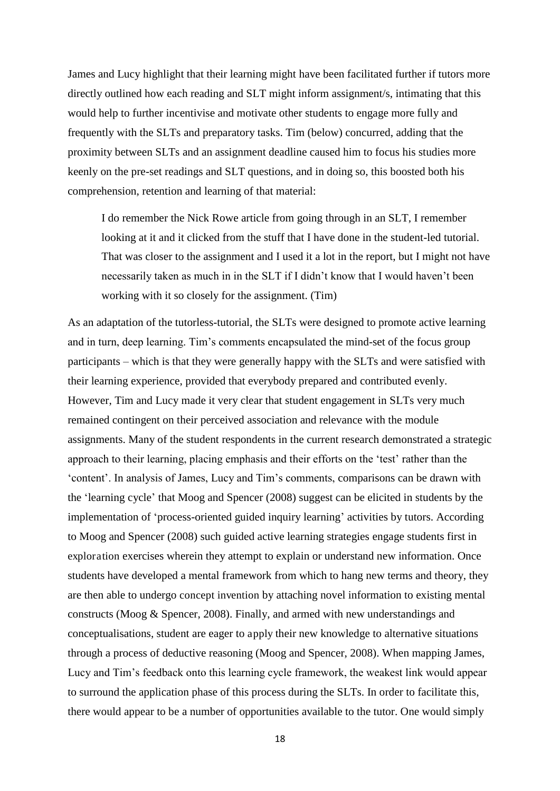James and Lucy highlight that their learning might have been facilitated further if tutors more directly outlined how each reading and SLT might inform assignment/s, intimating that this would help to further incentivise and motivate other students to engage more fully and frequently with the SLTs and preparatory tasks. Tim (below) concurred, adding that the proximity between SLTs and an assignment deadline caused him to focus his studies more keenly on the pre-set readings and SLT questions, and in doing so, this boosted both his comprehension, retention and learning of that material:

I do remember the Nick Rowe article from going through in an SLT, I remember looking at it and it clicked from the stuff that I have done in the student-led tutorial. That was closer to the assignment and I used it a lot in the report, but I might not have necessarily taken as much in in the SLT if I didn't know that I would haven't been working with it so closely for the assignment. (Tim)

As an adaptation of the tutorless-tutorial, the SLTs were designed to promote active learning and in turn, deep learning. Tim's comments encapsulated the mind-set of the focus group participants – which is that they were generally happy with the SLTs and were satisfied with their learning experience, provided that everybody prepared and contributed evenly. However, Tim and Lucy made it very clear that student engagement in SLTs very much remained contingent on their perceived association and relevance with the module assignments. Many of the student respondents in the current research demonstrated a strategic approach to their learning, placing emphasis and their efforts on the 'test' rather than the 'content'. In analysis of James, Lucy and Tim's comments, comparisons can be drawn with the 'learning cycle' that Moog and Spencer (2008) suggest can be elicited in students by the implementation of 'process-oriented guided inquiry learning' activities by tutors. According to Moog and Spencer (2008) such guided active learning strategies engage students first in exploration exercises wherein they attempt to explain or understand new information. Once students have developed a mental framework from which to hang new terms and theory, they are then able to undergo concept invention by attaching novel information to existing mental constructs (Moog & Spencer, 2008). Finally, and armed with new understandings and conceptualisations, student are eager to apply their new knowledge to alternative situations through a process of deductive reasoning (Moog and Spencer, 2008). When mapping James, Lucy and Tim's feedback onto this learning cycle framework, the weakest link would appear to surround the application phase of this process during the SLTs. In order to facilitate this, there would appear to be a number of opportunities available to the tutor. One would simply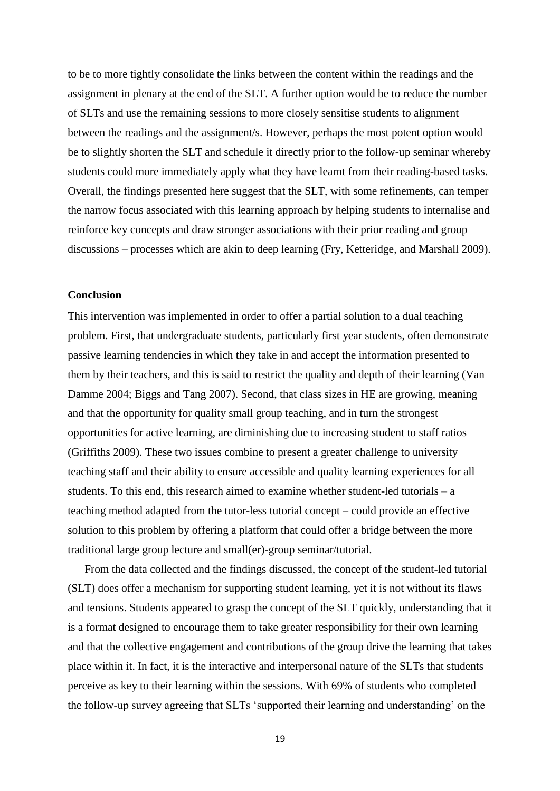to be to more tightly consolidate the links between the content within the readings and the assignment in plenary at the end of the SLT. A further option would be to reduce the number of SLTs and use the remaining sessions to more closely sensitise students to alignment between the readings and the assignment/s. However, perhaps the most potent option would be to slightly shorten the SLT and schedule it directly prior to the follow-up seminar whereby students could more immediately apply what they have learnt from their reading-based tasks. Overall, the findings presented here suggest that the SLT, with some refinements, can temper the narrow focus associated with this learning approach by helping students to internalise and reinforce key concepts and draw stronger associations with their prior reading and group discussions – processes which are akin to deep learning (Fry, Ketteridge, and Marshall 2009).

### **Conclusion**

This intervention was implemented in order to offer a partial solution to a dual teaching problem. First, that undergraduate students, particularly first year students, often demonstrate passive learning tendencies in which they take in and accept the information presented to them by their teachers, and this is said to restrict the quality and depth of their learning (Van Damme 2004; Biggs and Tang 2007). Second, that class sizes in HE are growing, meaning and that the opportunity for quality small group teaching, and in turn the strongest opportunities for active learning, are diminishing due to increasing student to staff ratios (Griffiths 2009). These two issues combine to present a greater challenge to university teaching staff and their ability to ensure accessible and quality learning experiences for all students. To this end, this research aimed to examine whether student-led tutorials – a teaching method adapted from the tutor-less tutorial concept – could provide an effective solution to this problem by offering a platform that could offer a bridge between the more traditional large group lecture and small(er)-group seminar/tutorial.

From the data collected and the findings discussed, the concept of the student-led tutorial (SLT) does offer a mechanism for supporting student learning, yet it is not without its flaws and tensions. Students appeared to grasp the concept of the SLT quickly, understanding that it is a format designed to encourage them to take greater responsibility for their own learning and that the collective engagement and contributions of the group drive the learning that takes place within it. In fact, it is the interactive and interpersonal nature of the SLTs that students perceive as key to their learning within the sessions. With 69% of students who completed the follow-up survey agreeing that SLTs 'supported their learning and understanding' on the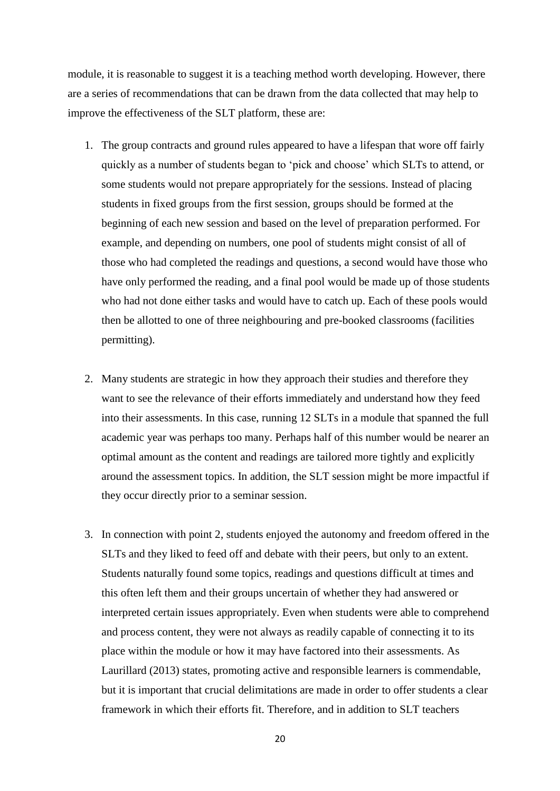module, it is reasonable to suggest it is a teaching method worth developing. However, there are a series of recommendations that can be drawn from the data collected that may help to improve the effectiveness of the SLT platform, these are:

- 1. The group contracts and ground rules appeared to have a lifespan that wore off fairly quickly as a number of students began to 'pick and choose' which SLTs to attend, or some students would not prepare appropriately for the sessions. Instead of placing students in fixed groups from the first session, groups should be formed at the beginning of each new session and based on the level of preparation performed. For example, and depending on numbers, one pool of students might consist of all of those who had completed the readings and questions, a second would have those who have only performed the reading, and a final pool would be made up of those students who had not done either tasks and would have to catch up. Each of these pools would then be allotted to one of three neighbouring and pre-booked classrooms (facilities permitting).
- 2. Many students are strategic in how they approach their studies and therefore they want to see the relevance of their efforts immediately and understand how they feed into their assessments. In this case, running 12 SLTs in a module that spanned the full academic year was perhaps too many. Perhaps half of this number would be nearer an optimal amount as the content and readings are tailored more tightly and explicitly around the assessment topics. In addition, the SLT session might be more impactful if they occur directly prior to a seminar session.
- 3. In connection with point 2, students enjoyed the autonomy and freedom offered in the SLTs and they liked to feed off and debate with their peers, but only to an extent. Students naturally found some topics, readings and questions difficult at times and this often left them and their groups uncertain of whether they had answered or interpreted certain issues appropriately. Even when students were able to comprehend and process content, they were not always as readily capable of connecting it to its place within the module or how it may have factored into their assessments. As Laurillard (2013) states, promoting active and responsible learners is commendable, but it is important that crucial delimitations are made in order to offer students a clear framework in which their efforts fit. Therefore, and in addition to SLT teachers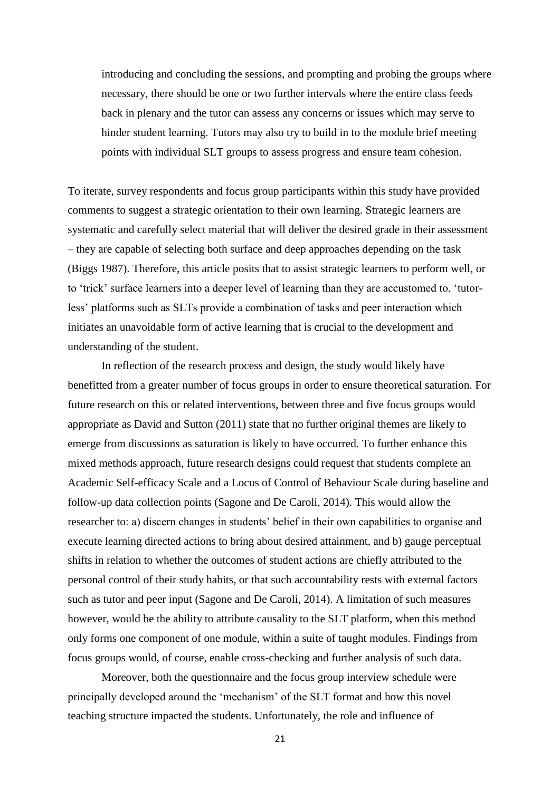introducing and concluding the sessions, and prompting and probing the groups where necessary, there should be one or two further intervals where the entire class feeds back in plenary and the tutor can assess any concerns or issues which may serve to hinder student learning. Tutors may also try to build in to the module brief meeting points with individual SLT groups to assess progress and ensure team cohesion.

To iterate, survey respondents and focus group participants within this study have provided comments to suggest a strategic orientation to their own learning. Strategic learners are systematic and carefully select material that will deliver the desired grade in their assessment – they are capable of selecting both surface and deep approaches depending on the task (Biggs 1987). Therefore, this article posits that to assist strategic learners to perform well, or to 'trick' surface learners into a deeper level of learning than they are accustomed to, 'tutorless' platforms such as SLTs provide a combination of tasks and peer interaction which initiates an unavoidable form of active learning that is crucial to the development and understanding of the student.

In reflection of the research process and design, the study would likely have benefitted from a greater number of focus groups in order to ensure theoretical saturation. For future research on this or related interventions, between three and five focus groups would appropriate as David and Sutton (2011) state that no further original themes are likely to emerge from discussions as saturation is likely to have occurred. To further enhance this mixed methods approach, future research designs could request that students complete an Academic Self-efficacy Scale and a Locus of Control of Behaviour Scale during baseline and follow-up data collection points (Sagone and De Caroli, 2014). This would allow the researcher to: a) discern changes in students' belief in their own capabilities to organise and execute learning directed actions to bring about desired attainment, and b) gauge perceptual shifts in relation to whether the outcomes of student actions are chiefly attributed to the personal control of their study habits, or that such accountability rests with external factors such as tutor and peer input (Sagone and De Caroli, 2014). A limitation of such measures however, would be the ability to attribute causality to the SLT platform, when this method only forms one component of one module, within a suite of taught modules. Findings from focus groups would, of course, enable cross-checking and further analysis of such data.

Moreover, both the questionnaire and the focus group interview schedule were principally developed around the 'mechanism' of the SLT format and how this novel teaching structure impacted the students. Unfortunately, the role and influence of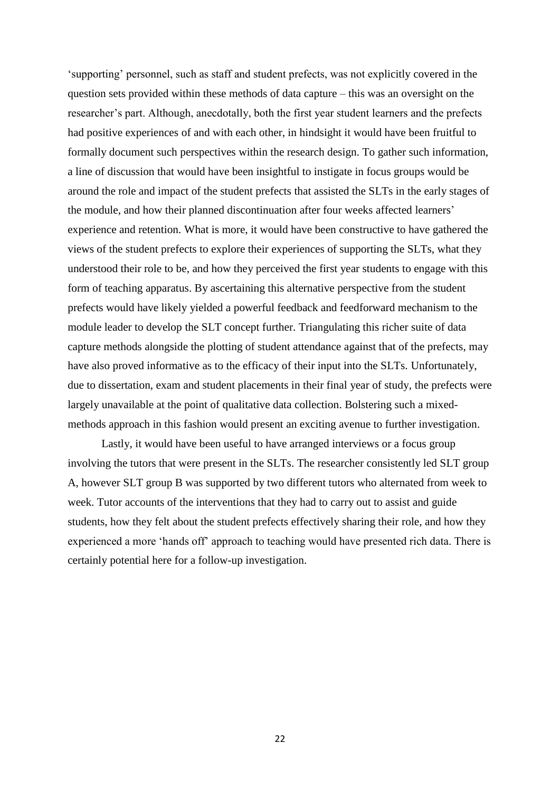'supporting' personnel, such as staff and student prefects, was not explicitly covered in the question sets provided within these methods of data capture – this was an oversight on the researcher's part. Although, anecdotally, both the first year student learners and the prefects had positive experiences of and with each other, in hindsight it would have been fruitful to formally document such perspectives within the research design. To gather such information, a line of discussion that would have been insightful to instigate in focus groups would be around the role and impact of the student prefects that assisted the SLTs in the early stages of the module, and how their planned discontinuation after four weeks affected learners' experience and retention. What is more, it would have been constructive to have gathered the views of the student prefects to explore their experiences of supporting the SLTs, what they understood their role to be, and how they perceived the first year students to engage with this form of teaching apparatus. By ascertaining this alternative perspective from the student prefects would have likely yielded a powerful feedback and feedforward mechanism to the module leader to develop the SLT concept further. Triangulating this richer suite of data capture methods alongside the plotting of student attendance against that of the prefects, may have also proved informative as to the efficacy of their input into the SLTs. Unfortunately, due to dissertation, exam and student placements in their final year of study, the prefects were largely unavailable at the point of qualitative data collection. Bolstering such a mixedmethods approach in this fashion would present an exciting avenue to further investigation.

Lastly, it would have been useful to have arranged interviews or a focus group involving the tutors that were present in the SLTs. The researcher consistently led SLT group A, however SLT group B was supported by two different tutors who alternated from week to week. Tutor accounts of the interventions that they had to carry out to assist and guide students, how they felt about the student prefects effectively sharing their role, and how they experienced a more 'hands off' approach to teaching would have presented rich data. There is certainly potential here for a follow-up investigation.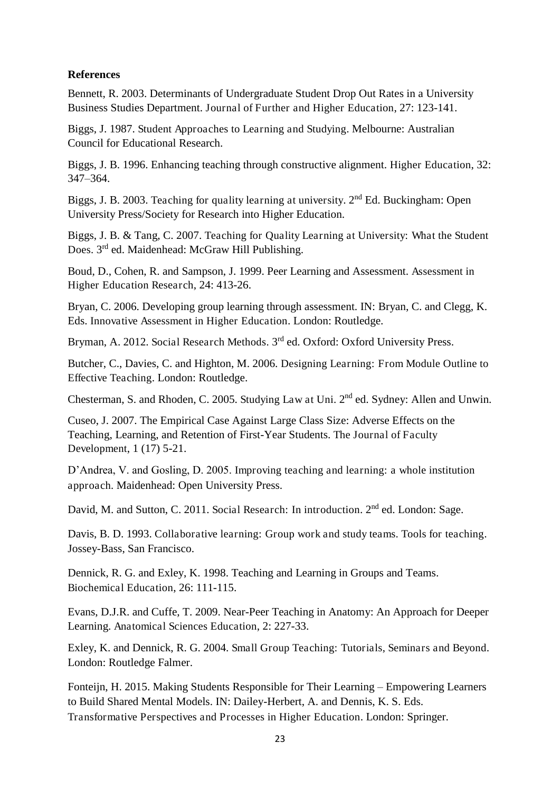## **References**

Bennett, R. 2003. Determinants of Undergraduate Student Drop Out Rates in a University Business Studies Department. Journal of Further and Higher Education, 27: 123-141.

Biggs, J. 1987. Student Approaches to Learning and Studying. Melbourne: Australian Council for Educational Research.

Biggs, J. B. 1996. Enhancing teaching through constructive alignment. Higher Education, 32: 347–364.

Biggs, J. B. 2003. Teaching for quality learning at university.  $2<sup>nd</sup>$  Ed. Buckingham: Open University Press/Society for Research into Higher Education.

Biggs, J. B. & Tang, C. 2007. Teaching for Quality Learning at University: What the Student Does. 3<sup>rd</sup> ed. Maidenhead: McGraw Hill Publishing.

Boud, D., Cohen, R. and Sampson, J. 1999. Peer Learning and Assessment. Assessment in Higher Education Research, 24: 413-26.

Bryan, C. 2006. Developing group learning through assessment. IN: Bryan, C. and Clegg, K. Eds. Innovative Assessment in Higher Education. London: Routledge.

Bryman, A. 2012. Social Research Methods. 3<sup>rd</sup> ed. Oxford: Oxford University Press.

Butcher, C., Davies, C. and Highton, M. 2006. Designing Learning: From Module Outline to Effective Teaching. London: Routledge.

Chesterman, S. and Rhoden, C. 2005. Studying Law at Uni. 2nd ed. Sydney: Allen and Unwin.

Cuseo, J. 2007. The Empirical Case Against Large Class Size: Adverse Effects on the Teaching, Learning, and Retention of First-Year Students. The Journal of Faculty Development, 1 (17) 5-21.

D'Andrea, V. and Gosling, D. 2005. Improving teaching and learning: a whole institution approach. Maidenhead: Open University Press.

David, M. and Sutton, C. 2011. Social Research: In introduction. 2<sup>nd</sup> ed. London: Sage.

Davis, B. D. 1993. Collaborative learning: Group work and study teams. Tools for teaching. Jossey-Bass, San Francisco.

Dennick, R. G. and Exley, K. 1998. Teaching and Learning in Groups and Teams. Biochemical Education, 26: 111-115.

Evans, D.J.R. and Cuffe, T. 2009. Near-Peer Teaching in Anatomy: An Approach for Deeper Learning. Anatomical Sciences Education, 2: 227-33.

Exley, K. and Dennick, R. G. 2004. Small Group Teaching: Tutorials, Seminars and Beyond. London: Routledge Falmer.

Fonteijn, H. 2015. Making Students Responsible for Their Learning – Empowering Learners to Build Shared Mental Models. IN: Dailey-Herbert, A. and Dennis, K. S. Eds. Transformative Perspectives and Processes in Higher Education. London: Springer.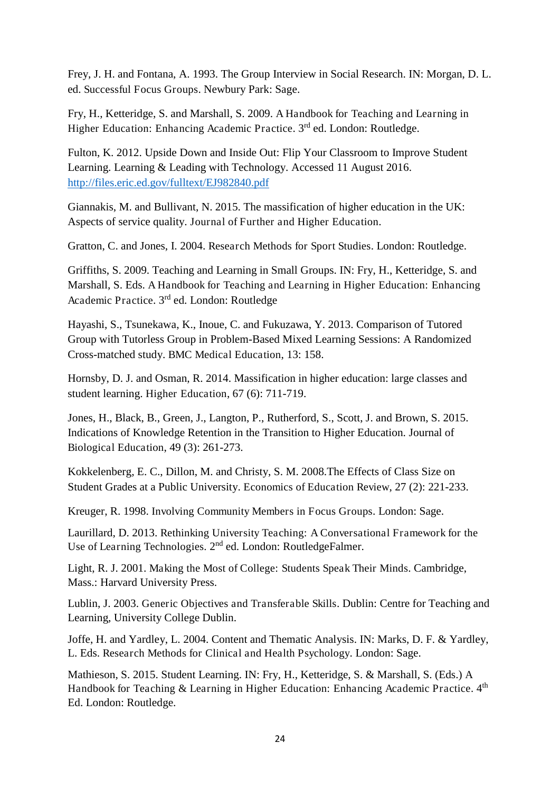Frey, J. H. and Fontana, A. 1993. The Group Interview in Social Research. IN: Morgan, D. L. ed. Successful Focus Groups. Newbury Park: Sage.

Fry, H., Ketteridge, S. and Marshall, S. 2009. A Handbook for Teaching and Learning in Higher Education: Enhancing Academic Practice. 3rd ed. London: Routledge.

Fulton, K. 2012. Upside Down and Inside Out: Flip Your Classroom to Improve Student Learning. Learning & Leading with Technology. Accessed 11 August 2016. <http://files.eric.ed.gov/fulltext/EJ982840.pdf>

Giannakis, M. and Bullivant, N. 2015. The massification of higher education in the UK: Aspects of service quality. Journal of Further and Higher Education.

Gratton, C. and Jones, I. 2004. Research Methods for Sport Studies. London: Routledge.

Griffiths, S. 2009. Teaching and Learning in Small Groups. IN: Fry, H., Ketteridge, S. and Marshall, S. Eds. A Handbook for Teaching and Learning in Higher Education: Enhancing Academic Practice. 3rd ed. London: Routledge

Hayashi, S., Tsunekawa, K., Inoue, C. and Fukuzawa, Y. 2013. Comparison of Tutored Group with Tutorless Group in Problem-Based Mixed Learning Sessions: A Randomized Cross-matched study. BMC Medical Education, 13: 158.

Hornsby, D. J. and Osman, R. 2014. Massification in higher education: large classes and student learning. Higher Education, 67 (6): 711-719.

Jones, H., Black, B., Green, J., Langton, P., Rutherford, S., Scott, J. and Brown, S. 2015. Indications of Knowledge Retention in the Transition to Higher Education. Journal of Biological Education, 49 (3): 261-273.

Kokkelenberg, E. C., Dillon, M. and Christy, S. M. 2008.The Effects of Class Size on Student Grades at a Public University. Economics of Education Review, 27 (2): 221-233.

Kreuger, R. 1998. Involving Community Members in Focus Groups. London: Sage.

Laurillard, D. 2013. Rethinking University Teaching: A Conversational Framework for the Use of Learning Technologies. 2<sup>nd</sup> ed. London: RoutledgeFalmer.

Light, R. J. 2001. Making the Most of College: Students Speak Their Minds. Cambridge, Mass.: Harvard University Press.

Lublin, J. 2003. Generic Objectives and Transferable Skills. Dublin: Centre for Teaching and Learning, University College Dublin.

Joffe, H. and Yardley, L. 2004. Content and Thematic Analysis. IN: Marks, D. F. & Yardley, L. Eds. Research Methods for Clinical and Health Psychology. London: Sage.

Mathieson, S. 2015. Student Learning. IN: Fry, H., Ketteridge, S. & Marshall, S. (Eds.) A Handbook for Teaching & Learning in Higher Education: Enhancing Academic Practice. 4<sup>th</sup> Ed. London: Routledge.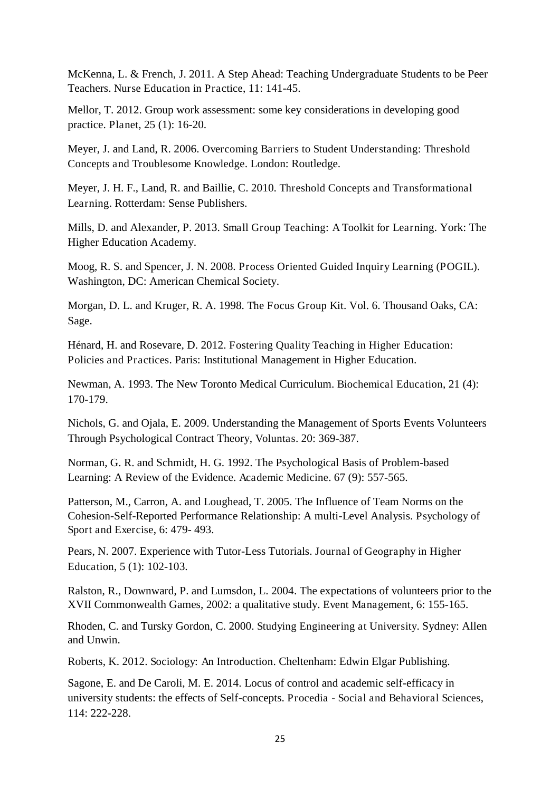McKenna, L. & French, J. 2011. A Step Ahead: Teaching Undergraduate Students to be Peer Teachers. Nurse Education in Practice, 11: 141-45.

Mellor, T. 2012. Group work assessment: some key considerations in developing good practice. Planet, 25 (1): 16-20.

Meyer, J. and Land, R. 2006. Overcoming Barriers to Student Understanding: Threshold Concepts and Troublesome Knowledge. London: Routledge.

Meyer, J. H. F., Land, R. and Baillie, C. 2010. Threshold Concepts and Transformational Learning. Rotterdam: Sense Publishers.

Mills, D. and Alexander, P. 2013. Small Group Teaching: A Toolkit for Learning. York: The Higher Education Academy.

Moog, R. S. and Spencer, J. N. 2008. Process Oriented Guided Inquiry Learning (POGIL). Washington, DC: American Chemical Society.

Morgan, D. L. and Kruger, R. A. 1998. The Focus Group Kit. Vol. 6. Thousand Oaks, CA: Sage.

Hénard, H. and Rosevare, D. 2012. Fostering Quality Teaching in Higher Education: Policies and Practices. Paris: Institutional Management in Higher Education.

Newman, A. 1993. The New Toronto Medical Curriculum. Biochemical Education, 21 (4): 170-179.

Nichols, G. and Ojala, E. 2009. Understanding the Management of Sports Events Volunteers Through Psychological Contract Theory, Voluntas. 20: 369-387.

Norman, G. R. and Schmidt, H. G. 1992. The Psychological Basis of Problem-based Learning: A Review of the Evidence. Academic Medicine. 67 (9): 557-565.

Patterson, M., Carron, A. and Loughead, T. 2005. The Influence of Team Norms on the Cohesion-Self-Reported Performance Relationship: A multi-Level Analysis. Psychology of Sport and Exercise, 6: 479- 493.

Pears, N. 2007. Experience with Tutor-Less Tutorials. Journal of Geography in Higher Education, 5 (1): 102-103.

Ralston, R., Downward, P. and Lumsdon, L. 2004. The expectations of volunteers prior to the XVII Commonwealth Games, 2002: a qualitative study. Event Management, 6: 155-165.

Rhoden, C. and Tursky Gordon, C. 2000. Studying Engineering at University. Sydney: Allen and Unwin.

Roberts, K. 2012. Sociology: An Introduction. Cheltenham: Edwin Elgar Publishing.

Sagone, E. and De Caroli, M. E. 2014. Locus of control and academic self-efficacy in university students: the effects of Self-concepts. Procedia - Social and Behavioral Sciences, 114: 222-228.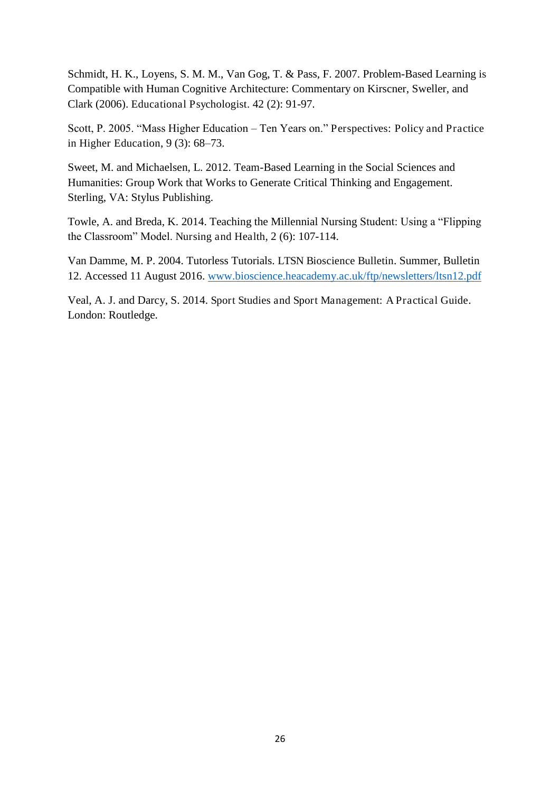Schmidt, H. K., Loyens, S. M. M., Van Gog, T. & Pass, F. 2007. Problem-Based Learning is Compatible with Human Cognitive Architecture: Commentary on Kirscner, Sweller, and Clark (2006). Educational Psychologist. 42 (2): 91-97.

Scott, P. 2005. "Mass Higher Education – Ten Years on." Perspectives: Policy and Practice in Higher Education, 9 (3): 68–73.

Sweet, M. and Michaelsen, L. 2012. Team-Based Learning in the Social Sciences and Humanities: Group Work that Works to Generate Critical Thinking and Engagement. Sterling, VA: Stylus Publishing.

Towle, A. and Breda, K. 2014. Teaching the Millennial Nursing Student: Using a "Flipping the Classroom" Model. Nursing and Health, 2 (6): 107-114.

Van Damme, M. P. 2004. Tutorless Tutorials. LTSN Bioscience Bulletin. Summer, Bulletin 12. Accessed 11 August 2016. [www.bioscience.heacademy.ac.uk/ftp/newsletters/ltsn12.pdf](http://www.bioscience.heacademy.ac.uk/ftp/newsletters/ltsn12.pdf)

Veal, A. J. and Darcy, S. 2014. Sport Studies and Sport Management: A Practical Guide. London: Routledge.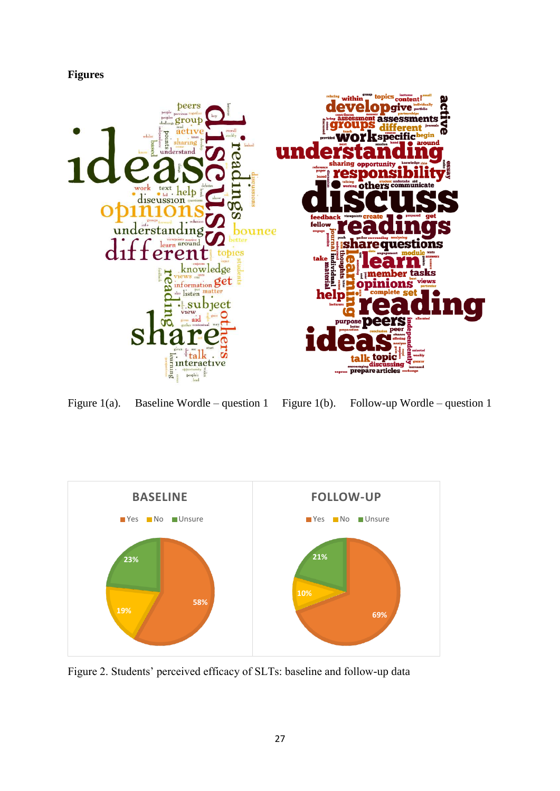



Figure 1(a). Baseline Wordle – question 1 Figure 1(b). Follow-up Wordle – question 1



Figure 2. Students' perceived efficacy of SLTs: baseline and follow-up data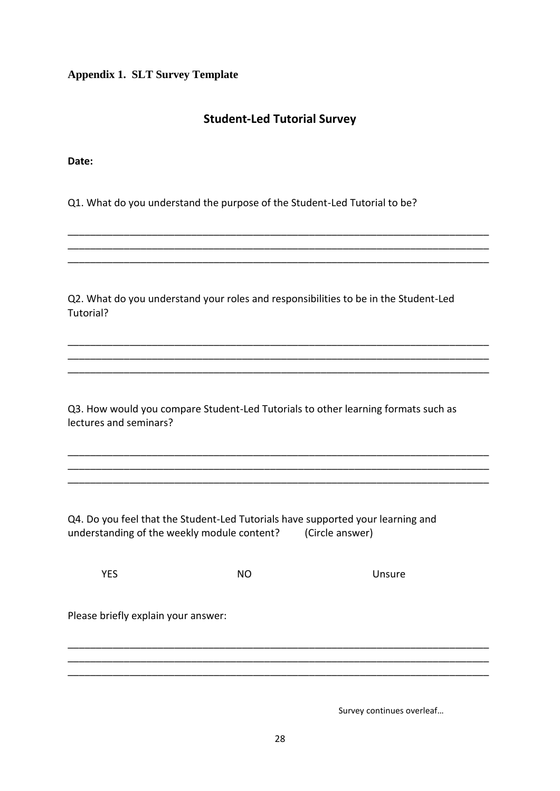**Appendix 1. SLT Survey Template** 

# **Student-Led Tutorial Survey**

\_\_\_\_\_\_\_\_\_\_\_\_\_\_\_\_\_\_\_\_\_\_\_\_\_\_\_\_\_\_\_\_\_\_\_\_\_\_\_\_\_\_\_\_\_\_\_\_\_\_\_\_\_\_\_\_\_\_\_\_\_\_\_\_\_\_\_\_\_\_\_\_\_\_\_ \_\_\_\_\_\_\_\_\_\_\_\_\_\_\_\_\_\_\_\_\_\_\_\_\_\_\_\_\_\_\_\_\_\_\_\_\_\_\_\_\_\_\_\_\_\_\_\_\_\_\_\_\_\_\_\_\_\_\_\_\_\_\_\_\_\_\_\_\_\_\_\_\_\_\_ \_\_\_\_\_\_\_\_\_\_\_\_\_\_\_\_\_\_\_\_\_\_\_\_\_\_\_\_\_\_\_\_\_\_\_\_\_\_\_\_\_\_\_\_\_\_\_\_\_\_\_\_\_\_\_\_\_\_\_\_\_\_\_\_\_\_\_\_\_\_\_\_\_\_\_

\_\_\_\_\_\_\_\_\_\_\_\_\_\_\_\_\_\_\_\_\_\_\_\_\_\_\_\_\_\_\_\_\_\_\_\_\_\_\_\_\_\_\_\_\_\_\_\_\_\_\_\_\_\_\_\_\_\_\_\_\_\_\_\_\_\_\_\_\_\_\_\_\_\_\_ \_\_\_\_\_\_\_\_\_\_\_\_\_\_\_\_\_\_\_\_\_\_\_\_\_\_\_\_\_\_\_\_\_\_\_\_\_\_\_\_\_\_\_\_\_\_\_\_\_\_\_\_\_\_\_\_\_\_\_\_\_\_\_\_\_\_\_\_\_\_\_\_\_\_\_ \_\_\_\_\_\_\_\_\_\_\_\_\_\_\_\_\_\_\_\_\_\_\_\_\_\_\_\_\_\_\_\_\_\_\_\_\_\_\_\_\_\_\_\_\_\_\_\_\_\_\_\_\_\_\_\_\_\_\_\_\_\_\_\_\_\_\_\_\_\_\_\_\_\_\_

\_\_\_\_\_\_\_\_\_\_\_\_\_\_\_\_\_\_\_\_\_\_\_\_\_\_\_\_\_\_\_\_\_\_\_\_\_\_\_\_\_\_\_\_\_\_\_\_\_\_\_\_\_\_\_\_\_\_\_\_\_\_\_\_\_\_\_\_\_\_\_\_\_\_\_ \_\_\_\_\_\_\_\_\_\_\_\_\_\_\_\_\_\_\_\_\_\_\_\_\_\_\_\_\_\_\_\_\_\_\_\_\_\_\_\_\_\_\_\_\_\_\_\_\_\_\_\_\_\_\_\_\_\_\_\_\_\_\_\_\_\_\_\_\_\_\_\_\_\_\_ \_\_\_\_\_\_\_\_\_\_\_\_\_\_\_\_\_\_\_\_\_\_\_\_\_\_\_\_\_\_\_\_\_\_\_\_\_\_\_\_\_\_\_\_\_\_\_\_\_\_\_\_\_\_\_\_\_\_\_\_\_\_\_\_\_\_\_\_\_\_\_\_\_\_\_

**Date:** 

Q1. What do you understand the purpose of the Student-Led Tutorial to be?

Q2. What do you understand your roles and responsibilities to be in the Student-Led Tutorial?

Q3. How would you compare Student-Led Tutorials to other learning formats such as lectures and seminars?

Q4. Do you feel that the Student-Led Tutorials have supported your learning and understanding of the weekly module content? (Circle answer)

**YES** NO Unsure

Please briefly explain your answer:

Survey continues overleaf…

\_\_\_\_\_\_\_\_\_\_\_\_\_\_\_\_\_\_\_\_\_\_\_\_\_\_\_\_\_\_\_\_\_\_\_\_\_\_\_\_\_\_\_\_\_\_\_\_\_\_\_\_\_\_\_\_\_\_\_\_\_\_\_\_\_\_\_\_\_\_\_\_\_\_\_ \_\_\_\_\_\_\_\_\_\_\_\_\_\_\_\_\_\_\_\_\_\_\_\_\_\_\_\_\_\_\_\_\_\_\_\_\_\_\_\_\_\_\_\_\_\_\_\_\_\_\_\_\_\_\_\_\_\_\_\_\_\_\_\_\_\_\_\_\_\_\_\_\_\_\_ \_\_\_\_\_\_\_\_\_\_\_\_\_\_\_\_\_\_\_\_\_\_\_\_\_\_\_\_\_\_\_\_\_\_\_\_\_\_\_\_\_\_\_\_\_\_\_\_\_\_\_\_\_\_\_\_\_\_\_\_\_\_\_\_\_\_\_\_\_\_\_\_\_\_\_